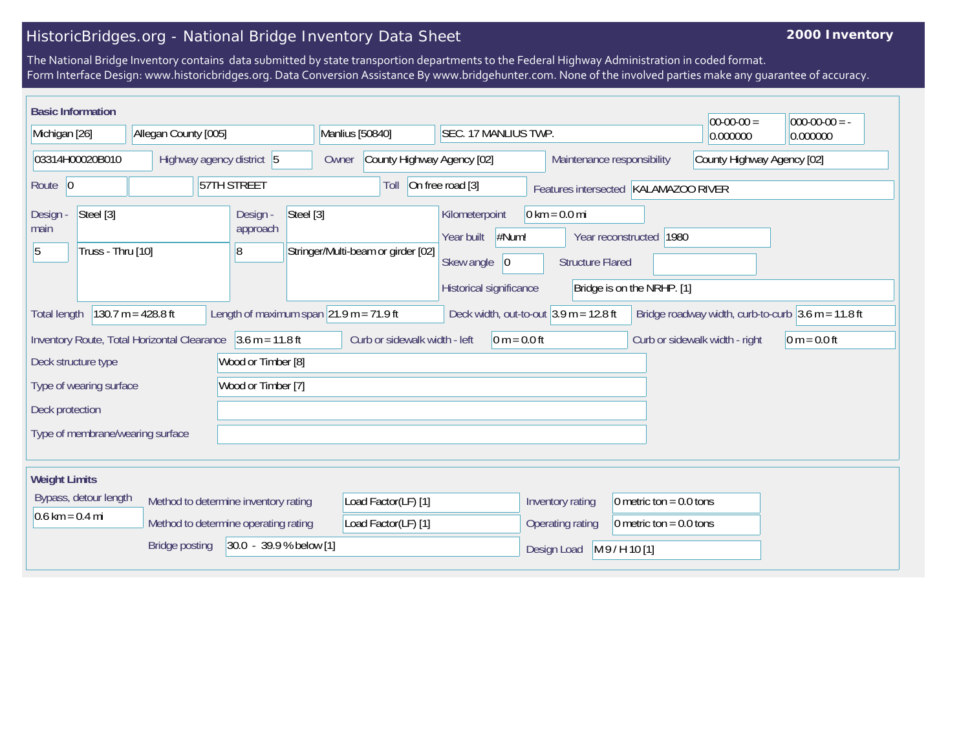## HistoricBridges.org - National Bridge Inventory Data Sheet

## **2000 Inventory**

The National Bridge Inventory contains data submitted by state transportion departments to the Federal Highway Administration in coded format. Form Interface Design: www.historicbridges.org. Data Conversion Assistance By www.bridgehunter.com. None of the involved parties make any guarantee of accuracy.

| <b>Basic Information</b>                                                                                                                                                                                                       |                                      |                                                                   |                                    |                                                                                       |                                                            |                                                       | $ 00-00-00 $ | $000-00-00 = -$ |
|--------------------------------------------------------------------------------------------------------------------------------------------------------------------------------------------------------------------------------|--------------------------------------|-------------------------------------------------------------------|------------------------------------|---------------------------------------------------------------------------------------|------------------------------------------------------------|-------------------------------------------------------|--------------|-----------------|
| Michigan [26]                                                                                                                                                                                                                  | Allegan County [005]                 |                                                                   | Manlius [50840]                    | SEC. 17 MANLIUS TWP.                                                                  |                                                            |                                                       | 0.000000     | 0.000000        |
| 03314H00020B010<br>Highway agency district 5                                                                                                                                                                                   |                                      | County Highway Agency [02]<br>Maintenance responsibility<br>Owner |                                    | County Highway Agency [02]                                                            |                                                            |                                                       |              |                 |
| Route 0                                                                                                                                                                                                                        |                                      | 57TH STREET                                                       | Toll                               | On free road [3]                                                                      |                                                            | Features intersected KALAMAZOO RIVER                  |              |                 |
| Steel [3]<br>Design -<br>main<br>Truss - Thru [10]<br>5                                                                                                                                                                        |                                      | Steel [3]<br>Design -<br>approach<br>18                           | Stringer/Multi-beam or girder [02] | Kilometerpoint<br>#Num!<br>Year built<br>Skew angle<br> 0 <br>Historical significance | $0 \text{ km} = 0.0 \text{ mi}$<br><b>Structure Flared</b> | Year reconstructed 1980<br>Bridge is on the NRHP. [1] |              |                 |
| 130.7 $m = 428.8$ ft<br>Length of maximum span $ 21.9 \text{ m} = 71.9 \text{ ft} $<br>Deck width, out-to-out $3.9$ m = 12.8 ft<br>Bridge roadway width, curb-to-curb $3.6 \text{ m} = 11.8 \text{ ft}$<br><b>Total length</b> |                                      |                                                                   |                                    |                                                                                       |                                                            |                                                       |              |                 |
| $3.6 m = 11.8 ft$<br>Inventory Route, Total Horizontal Clearance<br>Curb or sidewalk width - left<br>$0 m = 0.0 ft$<br>Curb or sidewalk width - right<br>$0 m = 0.0 ft$                                                        |                                      |                                                                   |                                    |                                                                                       |                                                            |                                                       |              |                 |
| Wood or Timber [8]<br>Deck structure type                                                                                                                                                                                      |                                      |                                                                   |                                    |                                                                                       |                                                            |                                                       |              |                 |
| Type of wearing surface<br>Wood or Timber [7]                                                                                                                                                                                  |                                      |                                                                   |                                    |                                                                                       |                                                            |                                                       |              |                 |
| Deck protection                                                                                                                                                                                                                |                                      |                                                                   |                                    |                                                                                       |                                                            |                                                       |              |                 |
| Type of membrane/wearing surface                                                                                                                                                                                               |                                      |                                                                   |                                    |                                                                                       |                                                            |                                                       |              |                 |
| <b>Weight Limits</b>                                                                                                                                                                                                           |                                      |                                                                   |                                    |                                                                                       |                                                            |                                                       |              |                 |
| Bypass, detour length                                                                                                                                                                                                          | Method to determine inventory rating |                                                                   | Load Factor(LF) [1]                |                                                                                       | Inventory rating                                           | 0 metric ton = $0.0$ tons                             |              |                 |
| $0.6 \text{ km} = 0.4 \text{ mi}$                                                                                                                                                                                              | Method to determine operating rating |                                                                   | Load Factor(LF) [1]                |                                                                                       | Operating rating                                           | 0 metric ton = $0.0$ tons                             |              |                 |
| 30.0 - 39.9 % below [1]<br><b>Bridge posting</b>                                                                                                                                                                               |                                      |                                                                   |                                    | Design Load                                                                           | M9/H10[1]                                                  |                                                       |              |                 |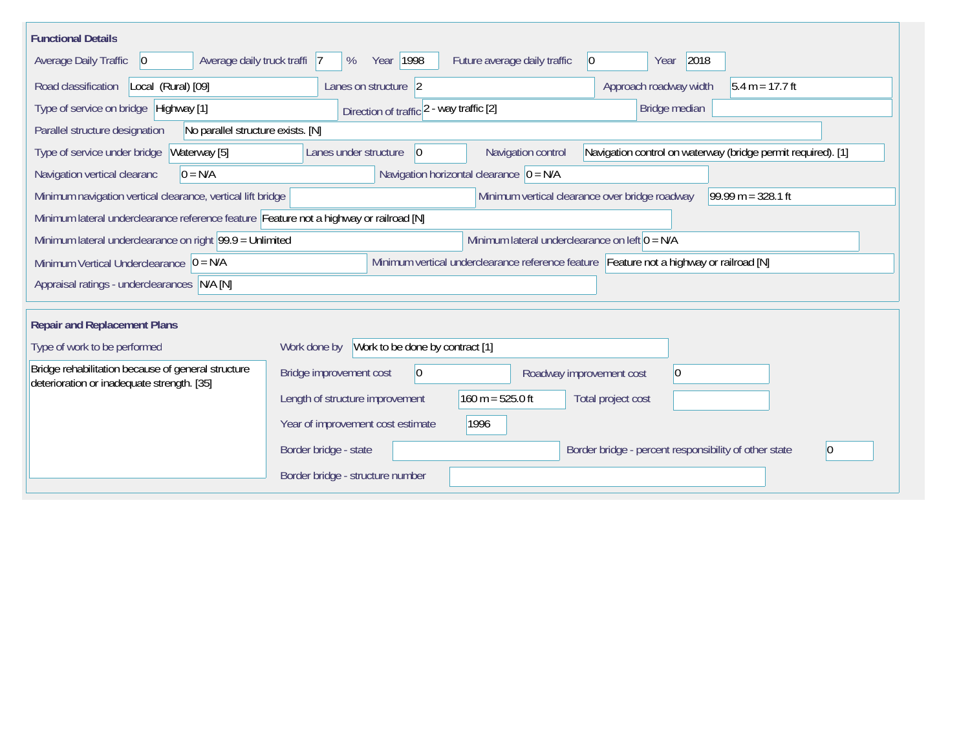| <b>Functional Details</b>                                                                        |                                                                                                                   |                      |  |  |  |  |  |
|--------------------------------------------------------------------------------------------------|-------------------------------------------------------------------------------------------------------------------|----------------------|--|--|--|--|--|
| <b>Average Daily Traffic</b><br>Average daily truck traffi 7<br>$ 0\rangle$                      | Year 1998<br>2018<br>Future average daily traffic<br>%<br>$ 0\rangle$<br>Year                                     |                      |  |  |  |  |  |
| Road classification<br>Local (Rural) [09]                                                        | Approach roadway width<br>Lanes on structure 2                                                                    | $5.4 m = 17.7 ft$    |  |  |  |  |  |
| Type of service on bridge   Highway [1]                                                          | Direction of traffic 2 - way traffic [2]<br>Bridge median                                                         |                      |  |  |  |  |  |
| No parallel structure exists. [N]<br>Parallel structure designation                              |                                                                                                                   |                      |  |  |  |  |  |
| Waterway [5]<br>Type of service under bridge                                                     | Navigation control on waterway (bridge permit required). [1]<br>Navigation control<br>Lanes under structure<br> 0 |                      |  |  |  |  |  |
| Navigation vertical clearanc<br>$0 = N/A$                                                        | Navigation horizontal clearance $ 0 = N/A$                                                                        |                      |  |  |  |  |  |
| Minimum navigation vertical clearance, vertical lift bridge                                      | Minimum vertical clearance over bridge roadway                                                                    | $99.99 m = 328.1 ft$ |  |  |  |  |  |
| Minimum lateral underclearance reference feature Feature not a highway or railroad [N]           |                                                                                                                   |                      |  |  |  |  |  |
|                                                                                                  | Minimum lateral underclearance on right $99.9 =$ Unlimited<br>Minimum lateral underclearance on left $0 = N/A$    |                      |  |  |  |  |  |
| Minimum Vertical Underclearance $ 0 = N/A $                                                      | Minimum vertical underclearance reference feature Feature not a highway or railroad [N]                           |                      |  |  |  |  |  |
| Appraisal ratings - underclearances N/A [N]                                                      |                                                                                                                   |                      |  |  |  |  |  |
|                                                                                                  |                                                                                                                   |                      |  |  |  |  |  |
| <b>Repair and Replacement Plans</b>                                                              |                                                                                                                   |                      |  |  |  |  |  |
| Type of work to be performed                                                                     | Work to be done by contract [1]<br>Work done by                                                                   |                      |  |  |  |  |  |
| Bridge rehabilitation because of general structure<br>deterioration or inadequate strength. [35] | $ 0\rangle$<br>Bridge improvement cost<br>$ 0\rangle$<br>Roadway improvement cost                                 |                      |  |  |  |  |  |
|                                                                                                  | $160 m = 525.0 ft$<br>Length of structure improvement<br>Total project cost                                       |                      |  |  |  |  |  |
|                                                                                                  | Year of improvement cost estimate<br>1996                                                                         |                      |  |  |  |  |  |
|                                                                                                  | Border bridge - state<br>Border bridge - percent responsibility of other state                                    |                      |  |  |  |  |  |
|                                                                                                  | Border bridge - structure number                                                                                  |                      |  |  |  |  |  |